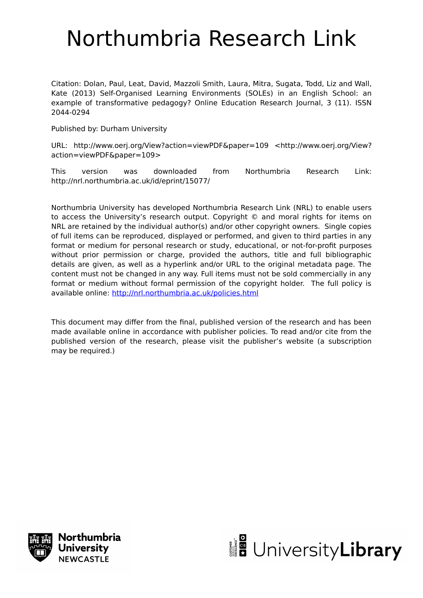## Northumbria Research Link

Citation: Dolan, Paul, Leat, David, Mazzoli Smith, Laura, Mitra, Sugata, Todd, Liz and Wall, Kate (2013) Self-Organised Learning Environments (SOLEs) in an English School: an example of transformative pedagogy? Online Education Research Journal, 3 (11). ISSN 2044-0294

Published by: Durham University

URL: http://www.oerj.org/View?action=viewPDF&paper=109 <http://www.oerj.org/View? action=viewPDF&paper=109>

This version was downloaded from Northumbria Research Link: http://nrl.northumbria.ac.uk/id/eprint/15077/

Northumbria University has developed Northumbria Research Link (NRL) to enable users to access the University's research output. Copyright © and moral rights for items on NRL are retained by the individual author(s) and/or other copyright owners. Single copies of full items can be reproduced, displayed or performed, and given to third parties in any format or medium for personal research or study, educational, or not-for-profit purposes without prior permission or charge, provided the authors, title and full bibliographic details are given, as well as a hyperlink and/or URL to the original metadata page. The content must not be changed in any way. Full items must not be sold commercially in any format or medium without formal permission of the copyright holder. The full policy is available online:<http://nrl.northumbria.ac.uk/policies.html>

This document may differ from the final, published version of the research and has been made available online in accordance with publisher policies. To read and/or cite from the published version of the research, please visit the publisher's website (a subscription may be required.)



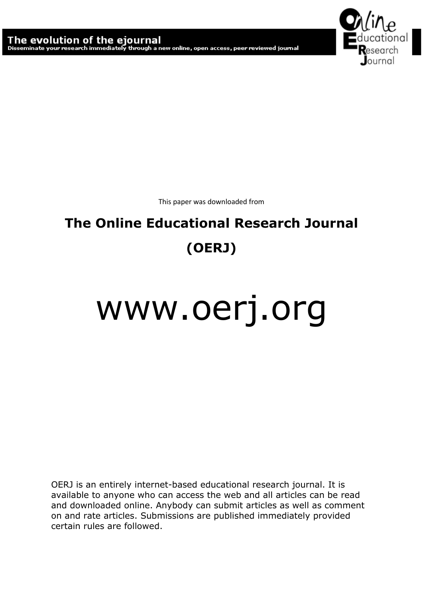

This paper was downloaded from

### **The Online Educational Research Journal (OERJ)**

# www.oerj.org

OERJ is an entirely internet-based educational research journal. It is available to anyone who can access the web and all articles can be read and downloaded online. Anybody can submit articles as well as comment on and rate articles. Submissions are published immediately provided certain rules are followed.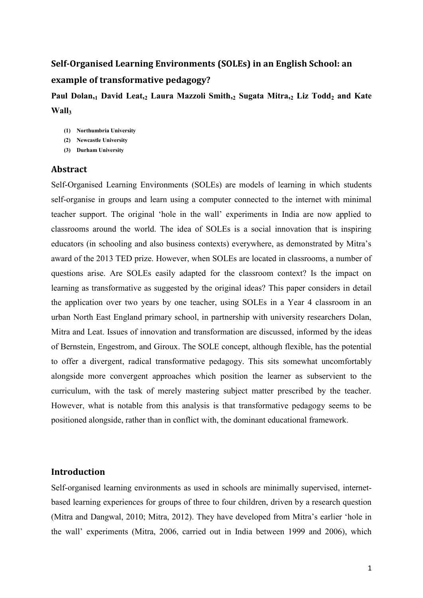#### **Self-Organised Learning Environments (SOLEs) in an English School: an example of transformative pedagogy?**

**Paul Dolan,<sup>1</sup> David Leat,<sup>2</sup> Laura Mazzoli Smith,<sup>2</sup> Sugata Mitra,<sup>2</sup> Liz Todd<sup>2</sup> and Kate Wall<sup>3</sup>**

- **(1) Northumbria University**
- **(2) Newcastle University**
- **(3) Durham University**

#### **Abstract**

Self-Organised Learning Environments (SOLEs) are models of learning in which students self-organise in groups and learn using a computer connected to the internet with minimal teacher support. The original 'hole in the wall' experiments in India are now applied to classrooms around the world. The idea of SOLEs is a social innovation that is inspiring educators (in schooling and also business contexts) everywhere, as demonstrated by Mitra's award of the 2013 TED prize. However, when SOLEs are located in classrooms, a number of questions arise. Are SOLEs easily adapted for the classroom context? Is the impact on learning as transformative as suggested by the original ideas? This paper considers in detail the application over two years by one teacher, using SOLEs in a Year 4 classroom in an urban North East England primary school, in partnership with university researchers Dolan, Mitra and Leat. Issues of innovation and transformation are discussed, informed by the ideas of Bernstein, Engestrom, and Giroux. The SOLE concept, although flexible, has the potential to offer a divergent, radical transformative pedagogy. This sits somewhat uncomfortably alongside more convergent approaches which position the learner as subservient to the curriculum, with the task of merely mastering subject matter prescribed by the teacher. However, what is notable from this analysis is that transformative pedagogy seems to be positioned alongside, rather than in conflict with, the dominant educational framework.

#### **Introduction**

Self-organised learning environments as used in schools are minimally supervised, internet based learning experiences for groups of three to four children, driven by a research question (Mitra and Dangwal, 2010; Mitra, 2012). They have developed from Mitra's earlier 'hole in the wall' experiments (Mitra, 2006, carried out in India between 1999 and 2006), which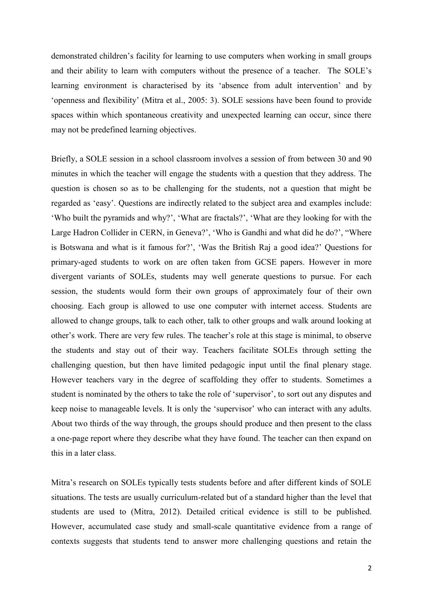demonstrated children's facility for learning to use computers when working in small groups and their ability to learn with computers without the presence of a teacher. The SOLE's learning environment is characterised by its 'absence from adult intervention' and by 'openness and flexibility' (Mitra et al., 2005: 3). SOLE sessions have been found to provide spaces within which spontaneous creativity and unexpected learning can occur, since there may not be predefined learning objectives.

Briefly, a SOLE session in a school classroom involves a session of from between 30 and 90 minutes in which the teacher will engage the students with a question that they address. The question is chosen so as to be challenging for the students, not a question that might be regarded as 'easy'. Questions are indirectly related to the subject area and examples include: 'Who built the pyramids and why?', 'What are fractals?', 'What are they looking for with the Large Hadron Collider in CERN, in Geneva?', 'Who is Gandhi and what did he do?', "Where is Botswana and what is it famous for?', 'Was the British Raj a good idea?' Questions for primary-aged students to work on are often taken from GCSE papers. However in more divergent variants of SOLEs, students may well generate questions to pursue. For each session, the students would form their own groups of approximately four of their own choosing. Each group is allowed to use one computer with internet access. Students are allowed to change groups, talk to each other, talk to other groups and walk around looking at other's work. There are very few rules. The teacher's role at this stage is minimal, to observe the students and stay out of their way. Teachers facilitate SOLEs through setting the challenging question, but then have limited pedagogic input until the final plenary stage. However teachers vary in the degree of scaffolding they offer to students. Sometimes a student is nominated by the others to take the role of 'supervisor', to sort out any disputes and keep noise to manageable levels. It is only the 'supervisor' who can interact with any adults. About two thirds of the way through, the groups should produce and then present to the class a one-page report where they describe what they have found. The teacher can then expand on this in a later class.

Mitra's research on SOLEs typically tests students before and after different kinds of SOLE situations. The tests are usually curriculum-related but of a standard higher than the level that students are used to (Mitra, 2012). Detailed critical evidence is still to be published. However, accumulated case study and small-scale quantitative evidence from a range of contexts suggests that students tend to answer more challenging questions and retain the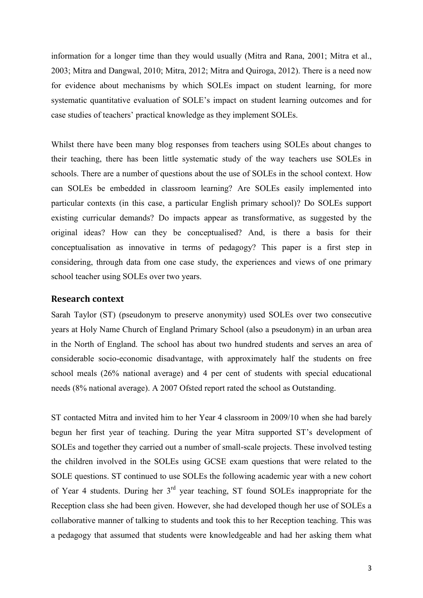information for a longer time than they would usually (Mitra and Rana, 2001; Mitra et al., 2003; Mitra and Dangwal, 2010; Mitra, 2012; Mitra and Quiroga, 2012). There is a need now for evidence about mechanisms by which SOLEs impact on student learning, for more systematic quantitative evaluation of SOLE's impact on student learning outcomes and for case studies of teachers' practical knowledge as they implement SOLEs.

Whilst there have been many blog responses from teachers using SOLEs about changes to their teaching, there has been little systematic study of the way teachers use SOLEs in schools. There are a number of questions about the use of SOLEs in the school context. How can SOLEs be embedded in classroom learning? Are SOLEs easily implemented into particular contexts (in this case, a particular English primary school)? Do SOLEs support existing curricular demands? Do impacts appear as transformative, as suggested by the original ideas? How can they be conceptualised? And, is there a basis for their conceptualisation as innovative in terms of pedagogy? This paper is a first step in considering, through data from one case study, the experiences and views of one primary school teacher using SOLEs over two years.

#### **Research context**

Sarah Taylor (ST) (pseudonym to preserve anonymity) used SOLEs over two consecutive years at Holy Name Church of England Primary School (also a pseudonym) in an urban area in the North of England. The school has about two hundred students and serves an area of considerable socio-economic disadvantage, with approximately half the students on free school meals (26% national average) and 4 per cent of students with special educational needs (8% national average). A 2007 Ofsted report rated the school as Outstanding.

ST contacted Mitra and invited him to her Year 4 classroom in 2009/10 when she had barely begun her first year of teaching. During the year Mitra supported ST's development of SOLEs and together they carried out a number of small-scale projects. These involved testing the children involved in the SOLEs using GCSE exam questions that were related to the SOLE questions. ST continued to use SOLEs the following academic year with a new cohort of Year 4 students. During her 3rd year teaching, ST found SOLEs inappropriate for the Reception class she had been given. However, she had developed though her use of SOLEs a collaborative manner of talking to students and took this to her Reception teaching. This was a pedagogy that assumed that students were knowledgeable and had her asking them what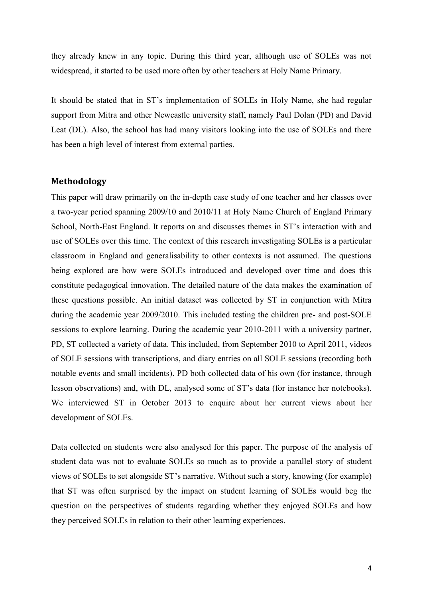they already knew in any topic. During this third year, although use of SOLEs was not widespread, it started to be used more often by other teachers at Holy Name Primary.

It should be stated that in ST's implementation of SOLEs in Holy Name, she had regular support from Mitra and other Newcastle university staff, namely Paul Dolan (PD) and David Leat (DL). Also, the school has had many visitors looking into the use of SOLEs and there has been a high level of interest from external parties.

#### **Methodology**

This paper will draw primarily on the in-depth case study of one teacher and her classes over a two-year period spanning 2009/10 and 2010/11 at Holy Name Church of England Primary School, North-East England. It reports on and discusses themes in ST's interaction with and use of SOLEs over this time. The context of this research investigating SOLEs is a particular classroom in England and generalisability to other contexts is not assumed. The questions being explored are how were SOLEs introduced and developed over time and does this constitute pedagogical innovation. The detailed nature of the data makes the examination of these questions possible. An initial dataset was collected by ST in conjunction with Mitra during the academic year 2009/2010. This included testing the children pre- and post-SOLE sessions to explore learning. During the academic year 2010-2011 with a university partner, PD, ST collected a variety of data. This included, from September 2010 to April 2011, videos of SOLE sessions with transcriptions, and diary entries on all SOLE sessions (recording both notable events and small incidents). PD both collected data of his own (for instance, through lesson observations) and, with DL, analysed some of ST's data (for instance her notebooks). We interviewed ST in October 2013 to enquire about her current views about her development of SOLEs.

Data collected on students were also analysed for this paper. The purpose of the analysis of student data was not to evaluate SOLEs so much as to provide a parallel story of student views of SOLEs to set alongside ST's narrative. Without such a story, knowing (for example) that ST was often surprised by the impact on student learning of SOLEs would beg the question on the perspectives of students regarding whether they enjoyed SOLEs and how they perceived SOLEs in relation to their other learning experiences.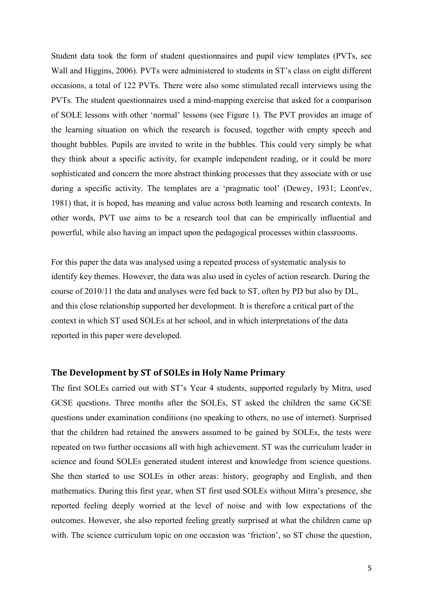Student data took the form of student questionnaires and pupil view templates (PVTs, see Wall and Higgins, 2006). PVTs were administered to students in ST's class on eight different occasions, a total of 122 PVTs. There were also some stimulated recall interviews using the PVTs. The student questionnaires used a mind-mapping exercise that asked for a comparison of SOLE lessons with other 'normal' lessons (see Figure 1).The PVT provides an image of the learning situation on which the research is focused, together with empty speech and thought bubbles. Pupils are invited to write in the bubbles. This could very simply be what they think about a specific activity, for example independent reading, or it could be more sophisticated and concern the more abstract thinking processes that they associate with or use during a specific activity. The templates are a 'pragmatic tool' (Dewey, 1931; Leont'ev, 1981) that, it is hoped, has meaning and value across both learning and research contexts. In other words, PVT use aims to be a research tool that can be empirically influential and powerful, while also having an impact upon the pedagogical processes within classrooms.

For this paper the data was analysed using a repeated process of systematic analysis to identify key themes. However, the data was also used in cycles of action research. During the course of 2010/11 the data and analyses were fed back to ST, often by PD but also by DL, and this close relationship supported her development. It is therefore a critical part of the context in which ST used SOLEs at her school, and in which interpretations of the data reported in this paper were developed.

#### **The Development by ST of SOLEs in Holy Name Primary**

The first SOLEs carried out with ST's Year 4 students, supported regularly by Mitra, used GCSE questions. Three months after the SOLEs, ST asked the children the same GCSE questions under examination conditions (no speaking to others, no use of internet). Surprised that the children had retained the answers assumed to be gained by SOLEs, the tests were repeated on two further occasions all with high achievement. ST was the curriculum leader in science and found SOLEs generated student interest and knowledge from science questions. She then started to use SOLEs in other areas: history, geography and English, and then mathematics. During this first year, when ST first used SOLEs without Mitra's presence, she reported feeling deeply worried at the level of noise and with low expectations of the outcomes. However, she also reported feeling greatly surprised at what the children came up with. The science curriculum topic on one occasion was 'friction', so ST chose the question,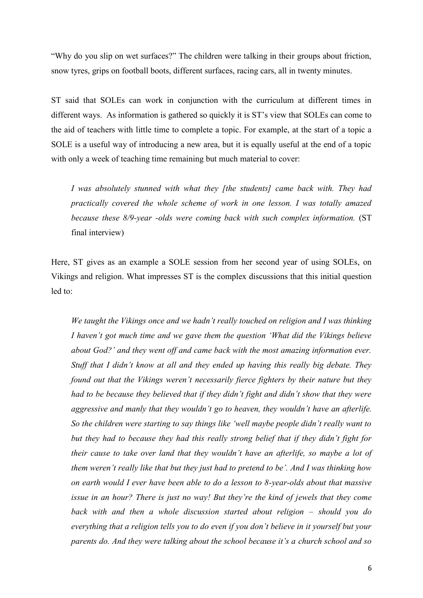"Why do you slip on wet surfaces?" The children were talking in their groups about friction, snow tyres, grips on football boots, different surfaces, racing cars, all in twenty minutes.

ST said that SOLEs can work in conjunction with the curriculum at different times in different ways. As information is gathered so quickly it is ST's view that SOLEs can come to the aid of teachers with little time to complete a topic. For example, at the start of a topic a SOLE is a useful way of introducing a new area, but it is equally useful at the end of a topic with only a week of teaching time remaining but much material to cover:

*I was absolutely stunned with what they [the students] came back with. They had practically covered the whole scheme of work in one lesson. I was totally amazed because these 8/9-year -olds were coming back with such complex information.* (ST final interview)

Here, ST gives as an example a SOLE session from her second year of using SOLEs, on Vikings and religion. What impresses ST is the complex discussions that this initial question led to:

*We taught the Vikings once and we hadn't really touched on religion and I was thinking I haven't got much time and we gave them the question 'What did the Vikings believe about God?' and they went off and came back with the most amazing information ever. Stuff that I didn't know at all and they ended up having this really big debate. They found out that the Vikings weren't necessarily fierce fighters by their nature but they had to be because they believed that if they didn't fight and didn't show that they were aggressive and manly that they wouldn't go to heaven, they wouldn't have an afterlife. So the children were starting to say things like 'well maybe people didn't really want to but they had to because they had this really strong belief that if they didn't fight for their cause to take over land that they wouldn't have an afterlife, so maybe a lot of them weren't really like that but they just had to pretend to be'. And I was thinking how on earth would I ever have been able to do a lesson to 8-year-olds about that massive issue in an hour? There is just no way! But they're the kind of jewels that they come back with and then a whole discussion started about religion – should you do everything that a religion tells you to do even if you don't believe in it yourself but your parents do. And they were talking about the school because it's a church school and so*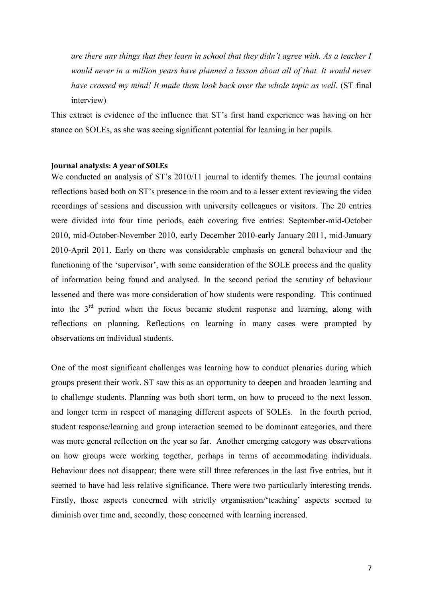*are there any things that they learn in school that they didn't agree with. As a teacher I would never in a million years have planned a lesson about all of that. It would never have crossed my mind! It made them look back over the whole topic as well.* (ST final interview)

This extract is evidence of the influence that ST's first hand experience was having on her stance on SOLEs, as she was seeing significant potential for learning in her pupils.

#### **Journal analysis: A year of SOLEs**

We conducted an analysis of ST's 2010/11 journal to identify themes. The journal contains reflections based both on ST's presence in the room and to a lesser extent reviewing the video recordings of sessions and discussion with university colleagues or visitors. The 20 entries were divided into four time periods, each covering five entries: September-mid-October 2010, mid-October-November 2010, early December 2010-early January 2011, mid-January 2010-April 2011. Early on there was considerable emphasis on general behaviour and the functioning of the 'supervisor', with some consideration of the SOLE process and the quality of information being found and analysed. In the second period the scrutiny of behaviour lessened and there was more consideration of how students were responding. This continued into the  $3<sup>rd</sup>$  period when the focus became student response and learning, along with reflections on planning. Reflections on learning in many cases were prompted by observations on individual students.

One of the most significant challenges was learning how to conduct plenaries during which groups present their work. ST saw this as an opportunity to deepen and broaden learning and to challenge students. Planning was both short term, on how to proceed to the next lesson, and longer term in respect of managing different aspects of SOLEs. In the fourth period, student response/learning and group interaction seemed to be dominant categories, and there was more general reflection on the year so far. Another emerging category was observations on how groups were working together, perhaps in terms of accommodating individuals. Behaviour does not disappear; there were still three references in the last five entries, but it seemed to have had less relative significance. There were two particularly interesting trends. Firstly, those aspects concerned with strictly organisation/'teaching' aspects seemed to diminish over time and, secondly, those concerned with learning increased.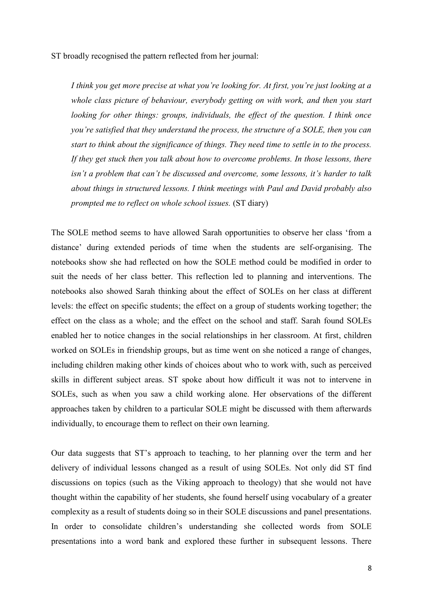ST broadly recognised the pattern reflected from her journal:

*I think you get more precise at what you're looking for. At first, you're just looking at a whole class picture of behaviour, everybody getting on with work, and then you start looking for other things: groups, individuals, the effect of the question. I think once you're satisfied that they understand the process, the structure of a SOLE, then you can start to think about the significance of things. They need time to settle in to the process. If they get stuck then you talk about how to overcome problems. In those lessons, there isn't a problem that can't be discussed and overcome, some lessons, it's harder to talk about things in structured lessons. I think meetings with Paul and David probably also prompted me to reflect on whole school issues.* (ST diary)

The SOLE method seems to have allowed Sarah opportunities to observe her class 'from a distance' during extended periods of time when the students are self-organising. The notebooks show she had reflected on how the SOLE method could be modified in order to suit the needs of her class better. This reflection led to planning and interventions. The notebooks also showed Sarah thinking about the effect of SOLEs on her class at different levels: the effect on specific students; the effect on a group of students working together; the effect on the class as a whole; and the effect on the school and staff. Sarah found SOLEs enabled her to notice changes in the social relationships in her classroom. At first, children worked on SOLEs in friendship groups, but as time went on she noticed a range of changes, including children making other kinds of choices about who to work with, such as perceived skills in different subject areas. ST spoke about how difficult it was not to intervene in SOLEs, such as when you saw a child working alone. Her observations of the different approaches taken by children to a particular SOLE might be discussed with them afterwards individually, to encourage them to reflect on their own learning.

Our data suggests that ST's approach to teaching, to her planning over the term and her delivery of individual lessons changed as a result of using SOLEs. Not only did ST find discussions on topics (such as the Viking approach to theology) that she would not have thought within the capability of her students, she found herself using vocabulary of a greater complexity as a result of students doing so in their SOLE discussions and panel presentations. In order to consolidate children's understanding she collected words from SOLE presentations into a word bank and explored these further in subsequent lessons. There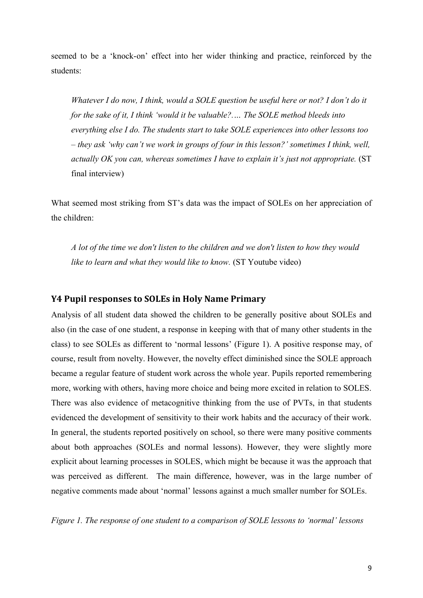seemed to be a 'knock-on' effect into her wider thinking and practice, reinforced by the students:

*Whatever I do now, I think, would a SOLE question be useful here or not? I don't do it for the sake of it, I think 'would it be valuable?.… The SOLE method bleeds into everything else I do. The students start to take SOLE experiences into other lessons too – they ask 'why can't we work in groups of four in this lesson?' sometimes I think, well, actually OK you can, whereas sometimes I have to explain it's just not appropriate.* (ST final interview)

What seemed most striking from ST's data was the impact of SOLEs on her appreciation of the children:

*A lot of the time we don't listen to the children and we don't listen to how they would like to learn and what they would like to know.* (ST Youtube video)

#### **Y4 Pupil responses to SOLEs in Holy Name Primary**

Analysis of all student data showed the children to be generally positive about SOLEs and also (in the case of one student, a response in keeping with that of many other students in the class) to see SOLEs as different to 'normal lessons' (Figure 1). A positive response may, of course, result from novelty. However, the novelty effect diminished since the SOLE approach became a regular feature of student work across the whole year. Pupils reported remembering more, working with others, having more choice and being more excited in relation to SOLES. There was also evidence of metacognitive thinking from the use of PVTs, in that students evidenced the development of sensitivity to their work habits and the accuracy of their work. In general, the students reported positively on school, so there were many positive comments about both approaches (SOLEs and normal lessons). However, they were slightly more explicit about learning processes in SOLES, which might be because it was the approach that was perceived as different. The main difference, however, was in the large number of negative comments made about 'normal' lessons against a much smaller number for SOLEs.

*Figure 1. The response of one student to a comparison of SOLE lessons to 'normal' lessons*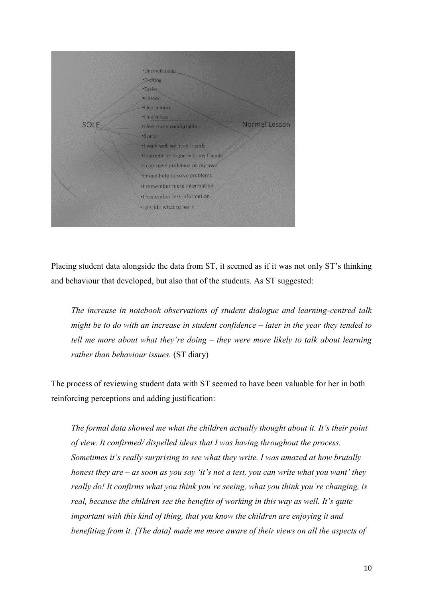

Placing student data alongside the data from ST, it seemed as if it was not only ST's thinking and behaviour that developed, but also that of the students. As ST suggested:

*The increase in notebook observations of student dialogue and learning-centred talk might be to do with an increase in student confidence – later in the year they tended to The increase in notebook observations of student dialogue and learning-centred talk*<br>might be to do with an increase in student confidence – later in the year they tended to<br>tell me more about what they're doing – they we *rather than behaviour issues.* (ST diary)

The process of reviewing student data with ST seemed to have been valuable for her in both reinforcing perceptions and adding justification: reinforcing perceptions and adding justification:

*The formal data showed me what the children actually thought about it. It's their point of view. It confirmed/ dispelled ideas that I was having throughout the process.* The formal data showed me what the children actually thought about it. It's their point<br>of view. It confirmed/ dispelled ideas that I was having throughout the process.<br>Sometimes it's really surprising to see what they wri *honest they are – as soon as you say 'it's not a test, you can write what you want' they want' they really do! It confirms what you think you're seeing, what you think you're changing, is real, because the children see the benefits of working in this way as well. It's quite important with this kind of thing, that you know the children are enjoying it and benefiting from it. [The data] made me more aware of their views on all the aspects of wat you think you're seeing, what you think you're chan see the benefits of working in this way as well. It's of thing, that you know the children are enjoying it a data] made me more aware of their views on all the a*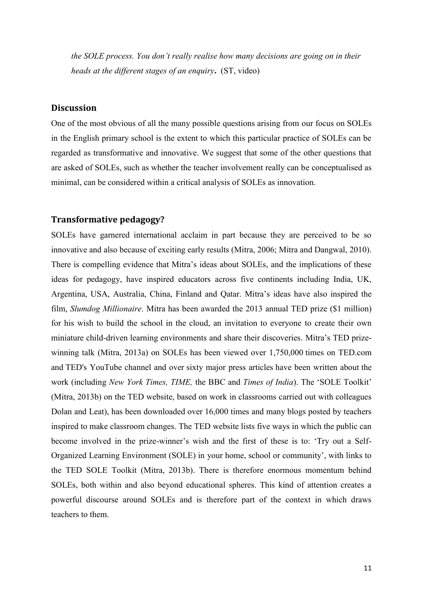*the SOLE process. You don't really realise how many decisions are going on in their heads at the different stages of an enquiry***.** (ST, video)

#### **Discussion**

One of the most obvious of all the many possible questions arising from our focus on SOLEs in the English primary school is the extent to which this particular practice of SOLEs can be regarded as transformative and innovative. We suggest that some of the other questions that are asked of SOLEs, such as whether the teacher involvement really can be conceptualised as minimal, can be considered within a critical analysis of SOLEs as innovation.

#### **Transformative pedagogy?**

SOLEs have garnered international acclaim in part because they are perceived to be so innovative and also because of exciting early results (Mitra, 2006; Mitra and Dangwal, 2010). There is compelling evidence that Mitra's ideas about SOLEs, and the implications of these ideas for pedagogy, have inspired educators across five continents including India, UK, Argentina, USA, Australia, China, Finland and Qatar. Mitra's ideas have also inspired the film, *Slumdog Millionaire*. Mitra has been awarded the 2013 annual TED prize (\$1 million) for his wish to build the school in the cloud, an invitation to everyone to create their own miniature child-driven learning environments and share their discoveries. Mitra's TED prize winning talk (Mitra, 2013a) on SOLEs has been viewed over 1,750,000 times on TED.com and TED's YouTube channel and over sixty major press articles have been written about the work (including *New York Times, TIME,* the BBC and *Times of India*). The 'SOLE Toolkit' (Mitra, 2013b) on the TED website, based on work in classrooms carried out with colleagues Dolan and Leat), has been downloaded over 16,000 times and many blogs posted by teachers inspired to make classroom changes. The TED website lists five ways in which the public can become involved in the prize-winner's wish and the first of these is to: 'Try out a Self- Organized Learning Environment (SOLE) in your home, school or community', with links to the TED SOLE Toolkit (Mitra, 2013b). There is therefore enormous momentum behind SOLEs, both within and also beyond educational spheres. This kind of attention creates a powerful discourse around SOLEs and is therefore part of the context in which draws teachers to them.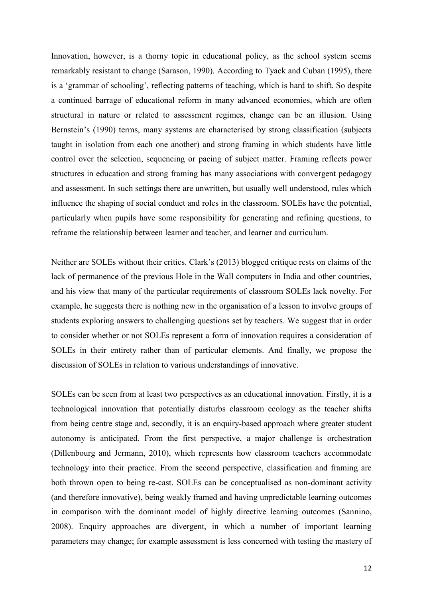Innovation, however, is a thorny topic in educational policy, as the school system seems remarkably resistant to change (Sarason, 1990). According to Tyack and Cuban (1995), there is a 'grammar of schooling', reflecting patterns of teaching, which is hard to shift. So despite a continued barrage of educational reform in many advanced economies, which are often structural in nature or related to assessment regimes, change can be an illusion. Using Bernstein's (1990) terms, many systems are characterised by strong classification (subjects taught in isolation from each one another) and strong framing in which students have little control over the selection, sequencing or pacing of subject matter. Framing reflects power structures in education and strong framing has many associations with convergent pedagogy and assessment. In such settings there are unwritten, but usually well understood, rules which influence the shaping of social conduct and roles in the classroom. SOLEs have the potential, particularly when pupils have some responsibility for generating and refining questions, to reframe the relationship between learner and teacher, and learner and curriculum.

Neither are SOLEs without their critics. Clark's (2013) blogged critique rests on claims of the lack of permanence of the previous Hole in the Wall computers in India and other countries, and his view that many of the particular requirements of classroom SOLEs lack novelty. For example, he suggests there is nothing new in the organisation of a lesson to involve groups of students exploring answers to challenging questions set by teachers. We suggest that in order to consider whether or not SOLEs represent a form of innovation requires a consideration of SOLEs in their entirety rather than of particular elements. And finally, we propose the discussion of SOLEs in relation to various understandings of innovative.

SOLEs can be seen from at least two perspectives as an educational innovation. Firstly, it is a technological innovation that potentially disturbs classroom ecology as the teacher shifts from being centre stage and, secondly, it is an enquiry-based approach where greater student autonomy is anticipated. From the first perspective, a major challenge is orchestration (Dillenbourg and Jermann, 2010), which represents how classroom teachers accommodate technology into their practice. From the second perspective, classification and framing are both thrown open to being re-cast. SOLEs can be conceptualised as non-dominant activity (and therefore innovative), being weakly framed and having unpredictable learning outcomes in comparison with the dominant model of highly directive learning outcomes (Sannino, 2008). Enquiry approaches are divergent, in which a number of important learning parameters may change; for example assessment is less concerned with testing the mastery of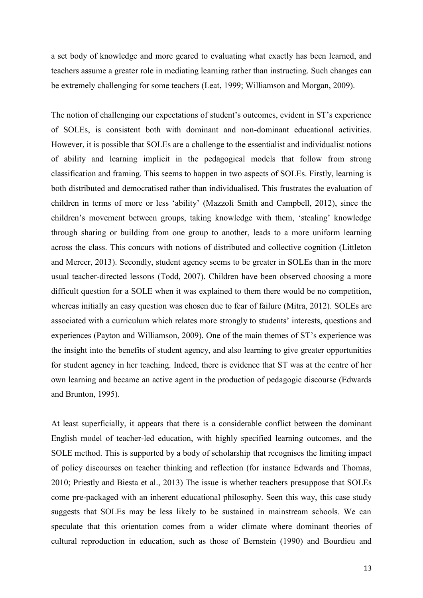a set body of knowledge and more geared to evaluating what exactly has been learned, and teachers assume a greater role in mediating learning rather than instructing. Such changes can be extremely challenging for some teachers (Leat, 1999; Williamson and Morgan, 2009).

The notion of challenging our expectations of student's outcomes, evident in ST's experience of SOLEs, is consistent both with dominant and non-dominant educational activities. However, it is possible that SOLEs are a challenge to the essentialist and individualist notions of ability and learning implicit in the pedagogical models that follow from strong classification and framing. This seems to happen in two aspects of SOLEs. Firstly, learning is both distributed and democratised rather than individualised. This frustrates the evaluation of children in terms of more or less 'ability' (Mazzoli Smith and Campbell, 2012), since the children's movement between groups, taking knowledge with them, 'stealing' knowledge through sharing or building from one group to another, leads to a more uniform learning across the class. This concurs with notions of distributed and collective cognition (Littleton and Mercer, 2013). Secondly, student agency seems to be greater in SOLEs than in the more usual teacher-directed lessons (Todd, 2007). Children have been observed choosing a more difficult question for a SOLE when it was explained to them there would be no competition, whereas initially an easy question was chosen due to fear of failure (Mitra, 2012). SOLEs are associated with a curriculum which relates more strongly to students' interests, questions and experiences (Payton and Williamson, 2009). One of the main themes of ST's experience was the insight into the benefits of student agency, and also learning to give greater opportunities for student agency in her teaching. Indeed, there is evidence that ST was at the centre of her own learning and became an active agent in the production of pedagogic discourse (Edwards and Brunton, 1995).

At least superficially, it appears that there is a considerable conflict between the dominant English model of teacher-led education, with highly specified learning outcomes, and the SOLE method. This is supported by a body of scholarship that recognises the limiting impact of policy discourses on teacher thinking and reflection (for instance Edwards and Thomas, 2010; Priestly and Biesta et al., 2013) The issue is whether teachers presuppose that SOLEs come pre-packaged with an inherent educational philosophy. Seen this way, this case study suggests that SOLEs may be less likely to be sustained in mainstream schools. We can speculate that this orientation comes from a wider climate where dominant theories of cultural reproduction in education, such as those of Bernstein (1990) and Bourdieu and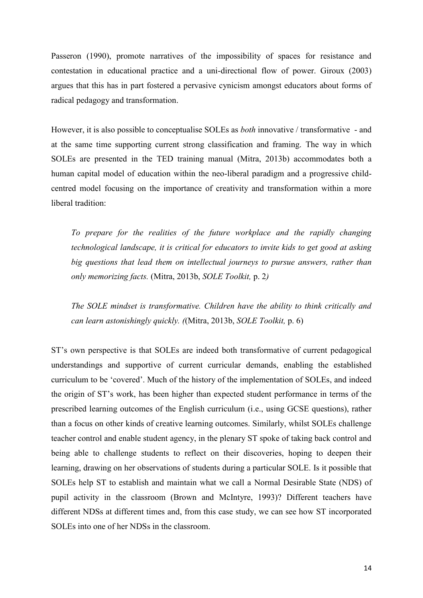Passeron (1990), promote narratives of the impossibility of spaces for resistance and contestation in educational practice and a uni-directional flow of power. Giroux (2003) argues that this has in part fostered a pervasive cynicism amongst educators about forms of radical pedagogy and transformation.

However, it is also possible to conceptualise SOLEs as *both* innovative / transformative -and at the same time supporting current strong classification and framing. The way in which SOLEs are presented in the TED training manual (Mitra, 2013b) accommodates both a human capital model of education within the neo-liberal paradigm and a progressive child centred model focusing on the importance of creativity and transformation within a more liberal tradition:

*To prepare for the realities of the future workplace and the rapidly changing technological landscape, it is critical for educators to invite kids to get good at asking big questions that lead them on intellectual journeys to pursue answers, rather than only memorizing facts.* (Mitra, 2013b, *SOLE Toolkit,* p. 2*)*

*The SOLE mindset is transformative. Children have the ability to think critically and can learn astonishingly quickly. (*(Mitra, 2013b, *SOLE Toolkit,* p. 6)

ST's own perspective is that SOLEs are indeed both transformative of current pedagogical understandings and supportive of current curricular demands, enabling the established curriculum to be 'covered'. Much of the history of the implementation of SOLEs, and indeed the origin of ST's work, has been higher than expected student performance in terms of the prescribed learning outcomes of the English curriculum (i.e., using GCSE questions), rather than a focus on other kinds of creative learning outcomes. Similarly, whilst SOLEs challenge teacher control and enable student agency, in the plenary ST spoke of taking back control and being able to challenge students to reflect on their discoveries, hoping to deepen their learning, drawing on her observations of students during a particular SOLE. Is it possible that SOLEs help ST to establish and maintain what we call a Normal Desirable State (NDS) of pupil activity in the classroom (Brown and McIntyre, 1993)? Different teachers have different NDSs at different times and, from this case study, we can see how ST incorporated SOLEs into one of her NDSs in the classroom.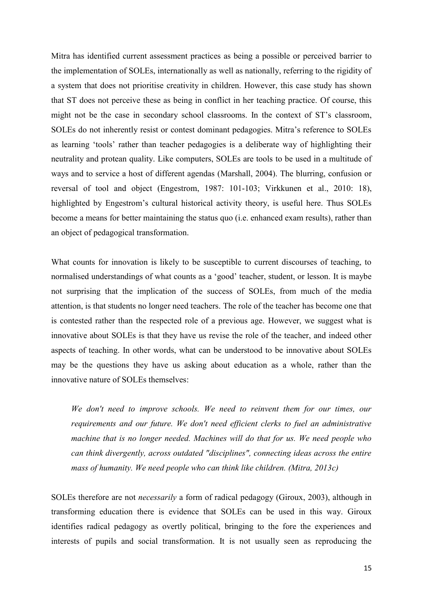Mitra has identified current assessment practices as being a possible or perceived barrier to the implementation of SOLEs, internationally as well as nationally, referring to the rigidity of a system that does not prioritise creativity in children. However, this case study has shown that ST does not perceive these as being in conflict in her teaching practice. Of course, this might not be the case in secondary school classrooms. In the context of ST's classroom, SOLEs do not inherently resist or contest dominant pedagogies. Mitra's reference to SOLEs as learning 'tools' rather than teacher pedagogies is a deliberate way of highlighting their neutrality and protean quality. Like computers, SOLEs are tools to be used in a multitude of ways and to service a host of different agendas (Marshall, 2004). The blurring, confusion or reversal of tool and object (Engestrom, 1987: 101-103; Virkkunen et al., 2010: 18), highlighted by Engestrom's cultural historical activity theory, is useful here. Thus SOLEs become a means for better maintaining the status quo (i.e. enhanced exam results), rather than an object of pedagogical transformation.

What counts for innovation is likely to be susceptible to current discourses of teaching, to normalised understandings of what counts as a 'good' teacher, student, or lesson. It is maybe not surprising that the implication of the success of SOLEs, from much of the media attention, is that students no longer need teachers. The role of the teacher has become one that is contested rather than the respected role of a previous age. However, we suggest what is innovative about SOLEs is that they have us revise the role of the teacher, and indeed other aspects of teaching. In other words, what can be understood to be innovative about SOLEs may be the questions they have us asking about education as a whole, rather than the innovative nature of SOLEs themselves:

*We don't need to improve schools. We need to reinvent them for our times, our requirements and our future. We don't need efficient clerks to fuel an administrative machine that is no longer needed. Machines will do that for us. We need people who can think divergently, across outdated "disciplines", connecting ideas across the entire mass of humanity. We need people who can think like children. (Mitra, 2013c)*

SOLEs therefore are not *necessarily* a form of radical pedagogy (Giroux, 2003), although in transforming education there is evidence that SOLEs can be used in this way. Giroux identifies radical pedagogy as overtly political, bringing to the fore the experiences and interests of pupils and social transformation. It is not usually seen as reproducing the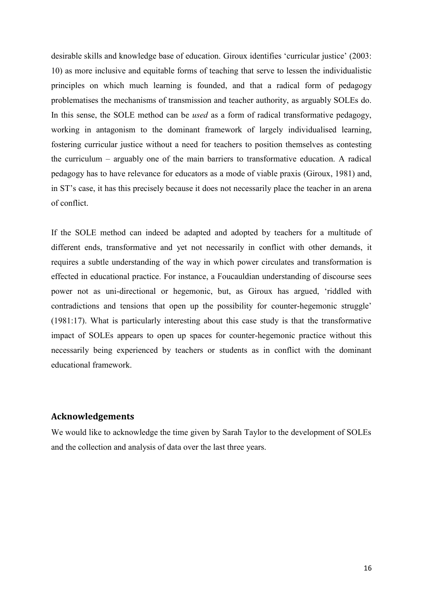desirable skills and knowledge base of education. Giroux identifies 'curricular justice' (2003: 10) as more inclusive and equitable forms of teaching that serve to lessen the individualistic principles on which much learning is founded, and that a radical form of pedagogy problematises the mechanisms of transmission and teacher authority, as arguably SOLEs do. In this sense, the SOLE method can be *used* as a form of radical transformative pedagogy, working in antagonism to the dominant framework of largely individualised learning, fostering curricular justice without a need for teachers to position themselves as contesting the curriculum – arguably one of the main barriers to transformative education. A radical pedagogy has to have relevance for educators as a mode of viable praxis (Giroux, 1981) and, in ST's case, it has this precisely because it does not necessarily place the teacher in an arena of conflict.

If the SOLE method can indeed be adapted and adopted by teachers for a multitude of different ends, transformative and yet not necessarily in conflict with other demands, it requires a subtle understanding of the way in which power circulates and transformation is effected in educational practice. For instance, a Foucauldian understanding of discourse sees power not as uni-directional or hegemonic, but, as Giroux has argued, 'riddled with contradictions and tensions that open up the possibility for counter-hegemonic struggle' (1981:17). What is particularly interesting about this case study is that the transformative impact of SOLEs appears to open up spaces for counter-hegemonic practice without this necessarily being experienced by teachers or students as in conflict with the dominant educational framework.

#### **Acknowledgements**

We would like to acknowledge the time given by Sarah Taylor to the development of SOLEs and the collection and analysis of data over the last three years.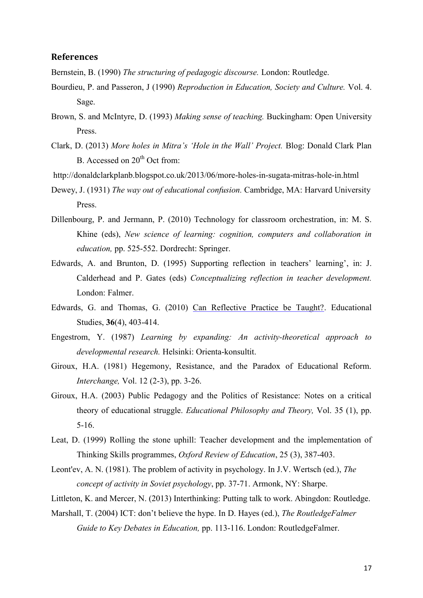#### **References**

Bernstein, B. (1990) *The structuring of pedagogic discourse.* London: Routledge.

- Bourdieu, P. and Passeron, J (1990) *Reproduction in Education, Society and Culture.* Vol. 4. Sage.
- Brown, S. and McIntyre, D. (1993) *Making sense of teaching.* Buckingham: Open University Press.
- Clark, D. (2013) *More holes in Mitra's 'Hole in the Wall' Project.* Blog: Donald Clark Plan B. Accessed on  $20<sup>th</sup>$  Oct from:
- http://donaldclarkplanb.blogspot.co.uk/2013/06/more-holes-in-sugata-mitras-hole-in.html
- Dewey, J. (1931) *The way out of educational confusion.* Cambridge, MA: Harvard University Press.
- Dillenbourg, P. and Jermann, P. (2010) Technology for classroom orchestration, in: M. S. Khine (eds), *New science of learning: cognition, computers and collaboration in education,* pp. 525-552. Dordrecht: Springer.
- Edwards, A. and Brunton, D. (1995) Supporting reflection in teachers' learning', in: J. Calderhead and P. Gates (eds) *Conceptualizing reflection in teacher development.* London: Falmer.
- Edwards, G. and Thomas, G. (2010) Can Reflective Practice be Taught?. Educational Studies, **36**(4), 403-414.
- Engestrom, Y. (1987) *Learning by expanding: An activity-theoretical approach to developmental research.* Helsinki: Orienta-konsultit.
- Giroux, H.A. (1981) Hegemony, Resistance, and the Paradox of Educational Reform. *Interchange,* Vol. 12 (2-3), pp. 3-26.
- Giroux, H.A. (2003) Public Pedagogy and the Politics of Resistance: Notes on a critical theory of educational struggle. *Educational Philosophy and Theory,* Vol. 35 (1), pp. 5-16.
- Leat, D. (1999) Rolling the stone uphill: Teacher development and the implementation of Thinking Skills programmes, *Oxford Review of Education*, 25 (3), 387-403.
- Leont'ev, A. N. (1981). The problem of activity in psychology. In J.V. Wertsch (ed.), *The concept of activity in Soviet psychology*, pp. 37-71. Armonk, NY: Sharpe.
- Littleton, K. and Mercer, N. (2013) Interthinking: Putting talk to work. Abingdon: Routledge.
- Marshall, T. (2004) ICT: don't believe the hype. In D. Hayes (ed.), *The RoutledgeFalmer Guide to Key Debates in Education,* pp. 113-116. London: RoutledgeFalmer.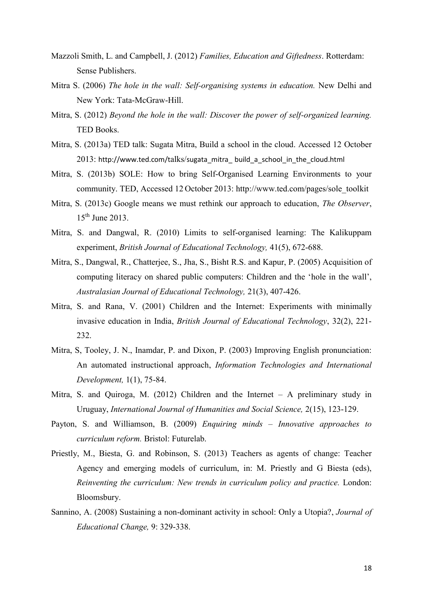- Mazzoli Smith, L. and Campbell, J. (2012) *Families, Education and Giftedness*. Rotterdam: Sense Publishers.
- Mitra S. (2006) *The hole in the wall: Self-organising systems in education.* New Delhi and New York: Tata-McGraw-Hill.
- Mitra, S. (2012) *Beyond the hole in the wall: Discover the power of self-organized learning.* TED Books.
- Mitra, S. (2013a) TED talk: Sugata Mitra, Build a school in the cloud. Accessed 12 October 2013: http://www.ted.com/talks/sugata\_mitra\_ build\_a\_school\_in\_the\_cloud.html
- Mitra, S. (2013b) SOLE: How to bring Self-Organised Learning Environments to your community. TED, Accessed 12 October 2013: http://www.ted.com/pages/sole\_toolkit
- Mitra, S. (2013c) Google means we must rethink our approach to education, *The Observer*,  $15<sup>th</sup>$  June 2013.
- Mitra, S. and Dangwal, R. (2010) Limits to self-organised learning: The Kalikuppam experiment, *British Journal of Educational Technology,* 41(5), 672-688.
- Mitra, S., Dangwal, R., Chatterjee, S., Jha, S., Bisht R.S. and Kapur, P. (2005) Acquisition of computing literacy on shared public computers: Children and the 'hole in the wall', *Australasian Journal of Educational Technology,* 21(3), 407-426.
- Mitra, S. and Rana, V. (2001) Children and the Internet: Experiments with minimally invasive education in India, *British Journal of Educational Technology*, 32(2), 221- 232.
- Mitra, S, Tooley, J. N., Inamdar, P. and Dixon, P. (2003) Improving English pronunciation: An automated instructional approach, *Information Technologies and International Development,* 1(1), 75-84.
- Mitra, S. and Quiroga, M. (2012) Children and the Internet A preliminary study in Uruguay, *International Journal of Humanities and Social Science,* 2(15), 123-129.
- Payton, S. and Williamson, B. (2009) *Enquiring minds – Innovative approaches to curriculum reform.* Bristol: Futurelab.
- Priestly, M., Biesta, G. and Robinson, S. (2013) Teachers as agents of change: Teacher Agency and emerging models of curriculum, in: M. Priestly and G Biesta (eds), *Reinventing the curriculum: New trends in curriculum policy and practice.* London: Bloomsbury.
- Sannino, A. (2008) Sustaining a non-dominant activity in school: Only a Utopia?, *Journal of Educational Change,* 9: 329-338.